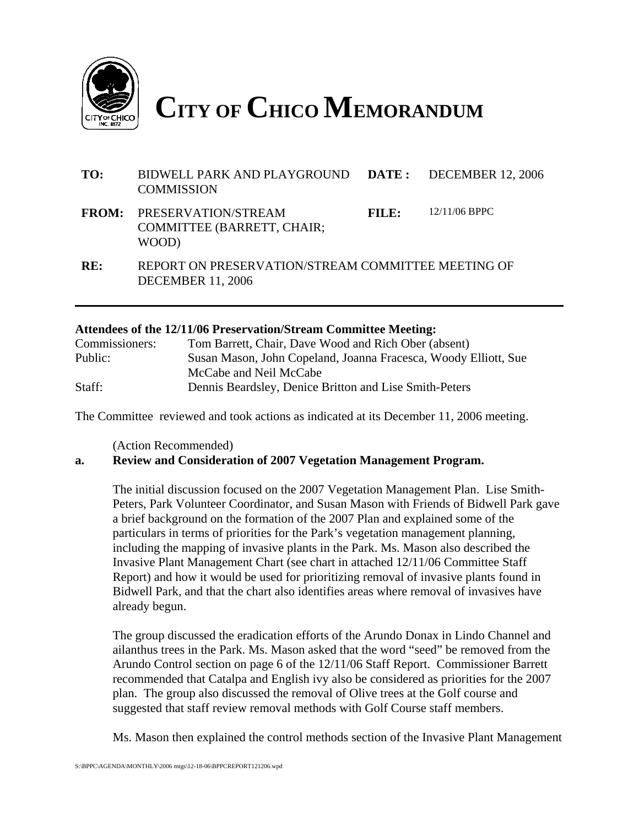

**CITY OF CHICO MEMORANDUM**

| TO:          | BIDWELL PARK AND PLAYGROUND DATE: DECEMBER 12, 2006<br><b>COMMISSION</b>       |       |                 |
|--------------|--------------------------------------------------------------------------------|-------|-----------------|
| <b>FROM:</b> | PRESERVATION/STREAM<br><b>COMMITTEE (BARRETT, CHAIR;</b><br>WOOD)              | FILE: | $12/11/06$ BPPC |
| RE:          | REPORT ON PRESERVATION/STREAM COMMITTEE MEETING OF<br><b>DECEMBER 11, 2006</b> |       |                 |

#### **Attendees of the 12/11/06 Preservation/Stream Committee Meeting:**

| Commissioners: | Tom Barrett, Chair, Dave Wood and Rich Ober (absent)            |
|----------------|-----------------------------------------------------------------|
| Public:        | Susan Mason, John Copeland, Joanna Fracesca, Woody Elliott, Sue |
|                | McCabe and Neil McCabe                                          |
| Staff:         | Dennis Beardsley, Denice Britton and Lise Smith-Peters          |

The Committee reviewed and took actions as indicated at its December 11, 2006 meeting.

(Action Recommended)

#### **a. Review and Consideration of 2007 Vegetation Management Program.**

The initial discussion focused on the 2007 Vegetation Management Plan. Lise Smith-Peters, Park Volunteer Coordinator, and Susan Mason with Friends of Bidwell Park gave a brief background on the formation of the 2007 Plan and explained some of the particulars in terms of priorities for the Park's vegetation management planning, including the mapping of invasive plants in the Park. Ms. Mason also described the Invasive Plant Management Chart (see chart in attached 12/11/06 Committee Staff Report) and how it would be used for prioritizing removal of invasive plants found in Bidwell Park, and that the chart also identifies areas where removal of invasives have already begun.

The group discussed the eradication efforts of the Arundo Donax in Lindo Channel and ailanthus trees in the Park. Ms. Mason asked that the word "seed" be removed from the Arundo Control section on page 6 of the 12/11/06 Staff Report. Commissioner Barrett recommended that Catalpa and English ivy also be considered as priorities for the 2007 plan. The group also discussed the removal of Olive trees at the Golf course and suggested that staff review removal methods with Golf Course staff members.

Ms. Mason then explained the control methods section of the Invasive Plant Management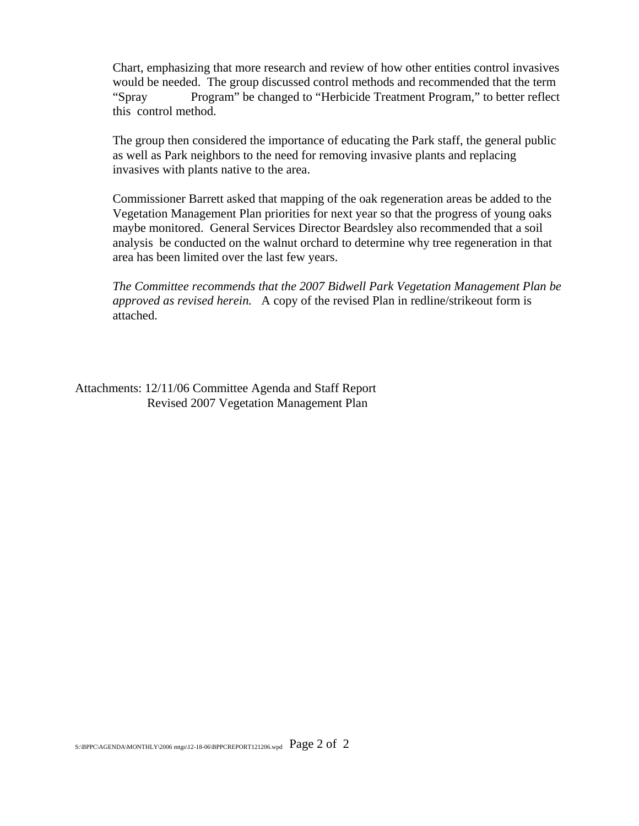Chart, emphasizing that more research and review of how other entities control invasives would be needed. The group discussed control methods and recommended that the term "Spray Program" be changed to "Herbicide Treatment Program," to better reflect this control method.

The group then considered the importance of educating the Park staff, the general public as well as Park neighbors to the need for removing invasive plants and replacing invasives with plants native to the area.

Commissioner Barrett asked that mapping of the oak regeneration areas be added to the Vegetation Management Plan priorities for next year so that the progress of young oaks maybe monitored. General Services Director Beardsley also recommended that a soil analysis be conducted on the walnut orchard to determine why tree regeneration in that area has been limited over the last few years.

*The Committee recommends that the 2007 Bidwell Park Vegetation Management Plan be approved as revised herein.* A copy of the revised Plan in redline/strikeout form is attached.

Attachments: 12/11/06 Committee Agenda and Staff Report Revised 2007 Vegetation Management Plan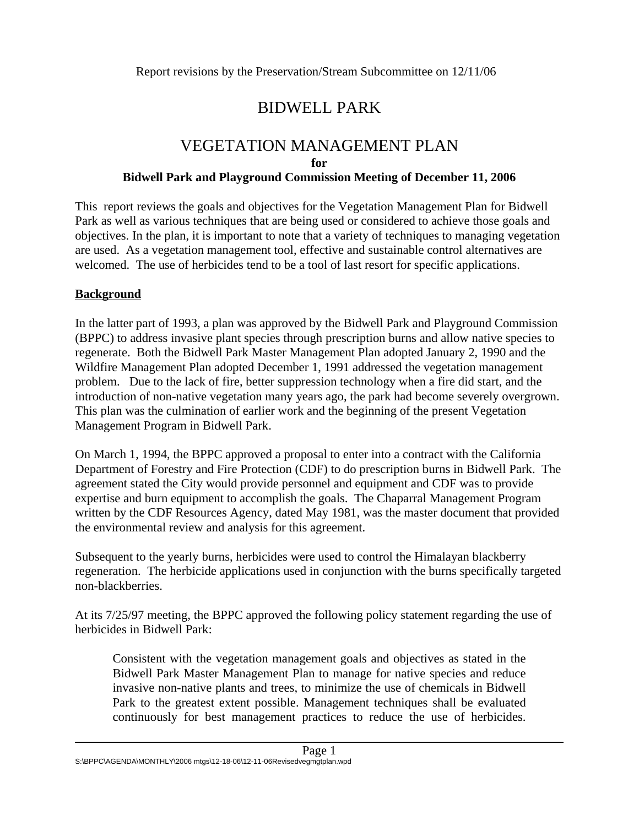## BIDWELL PARK

# VEGETATION MANAGEMENT PLAN

**for**

#### **Bidwell Park and Playground Commission Meeting of December 11, 2006**

This report reviews the goals and objectives for the Vegetation Management Plan for Bidwell Park as well as various techniques that are being used or considered to achieve those goals and objectives. In the plan, it is important to note that a variety of techniques to managing vegetation are used. As a vegetation management tool, effective and sustainable control alternatives are welcomed. The use of herbicides tend to be a tool of last resort for specific applications.

## **Background**

In the latter part of 1993, a plan was approved by the Bidwell Park and Playground Commission (BPPC) to address invasive plant species through prescription burns and allow native species to regenerate. Both the Bidwell Park Master Management Plan adopted January 2, 1990 and the Wildfire Management Plan adopted December 1, 1991 addressed the vegetation management problem. Due to the lack of fire, better suppression technology when a fire did start, and the introduction of non-native vegetation many years ago, the park had become severely overgrown. This plan was the culmination of earlier work and the beginning of the present Vegetation Management Program in Bidwell Park.

On March 1, 1994, the BPPC approved a proposal to enter into a contract with the California Department of Forestry and Fire Protection (CDF) to do prescription burns in Bidwell Park. The agreement stated the City would provide personnel and equipment and CDF was to provide expertise and burn equipment to accomplish the goals. The Chaparral Management Program written by the CDF Resources Agency, dated May 1981, was the master document that provided the environmental review and analysis for this agreement.

Subsequent to the yearly burns, herbicides were used to control the Himalayan blackberry regeneration. The herbicide applications used in conjunction with the burns specifically targeted non-blackberries.

At its 7/25/97 meeting, the BPPC approved the following policy statement regarding the use of herbicides in Bidwell Park:

Consistent with the vegetation management goals and objectives as stated in the Bidwell Park Master Management Plan to manage for native species and reduce invasive non-native plants and trees, to minimize the use of chemicals in Bidwell Park to the greatest extent possible. Management techniques shall be evaluated continuously for best management practices to reduce the use of herbicides.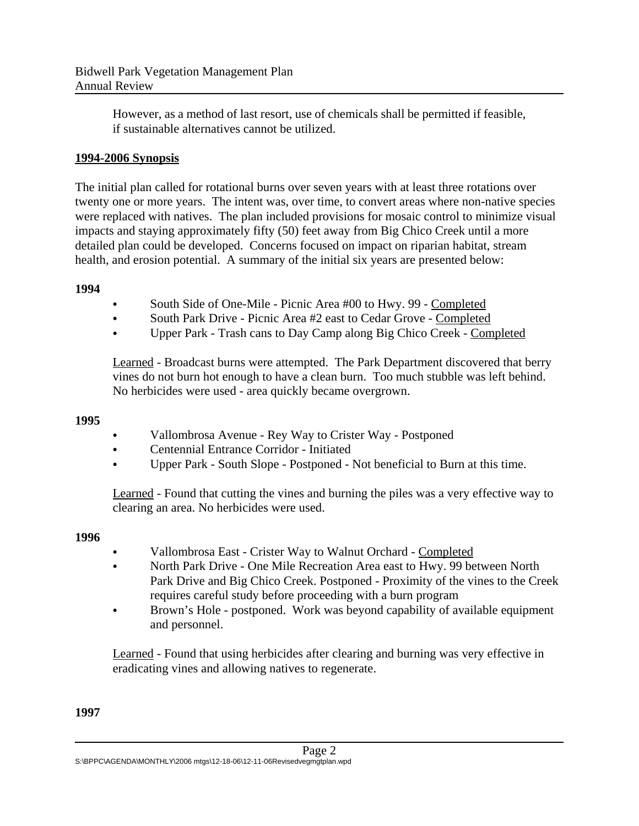However, as a method of last resort, use of chemicals shall be permitted if feasible, if sustainable alternatives cannot be utilized.

## **1994-2006 Synopsis**

The initial plan called for rotational burns over seven years with at least three rotations over twenty one or more years. The intent was, over time, to convert areas where non-native species were replaced with natives. The plan included provisions for mosaic control to minimize visual impacts and staying approximately fifty (50) feet away from Big Chico Creek until a more detailed plan could be developed. Concerns focused on impact on riparian habitat, stream health, and erosion potential. A summary of the initial six years are presented below:

## **1994**

- South Side of One-Mile Picnic Area #00 to Hwy. 99 Completed
- South Park Drive Picnic Area #2 east to Cedar Grove Completed
- C Upper Park Trash cans to Day Camp along Big Chico Creek Completed

Learned - Broadcast burns were attempted. The Park Department discovered that berry vines do not burn hot enough to have a clean burn. Too much stubble was left behind. No herbicides were used - area quickly became overgrown.

## **1995**

- Vallombrosa Avenue Rey Way to Crister Way Postponed
- Centennial Entrance Corridor Initiated
- C Upper Park South Slope Postponed Not beneficial to Burn at this time.

Learned - Found that cutting the vines and burning the piles was a very effective way to clearing an area. No herbicides were used.

## **1996**

- Vallombrosa East Crister Way to Walnut Orchard Completed
- North Park Drive One Mile Recreation Area east to Hwy. 99 between North Park Drive and Big Chico Creek. Postponed - Proximity of the vines to the Creek requires careful study before proceeding with a burn program
- Brown's Hole postponed. Work was beyond capability of available equipment and personnel.

Learned - Found that using herbicides after clearing and burning was very effective in eradicating vines and allowing natives to regenerate.

## **1997**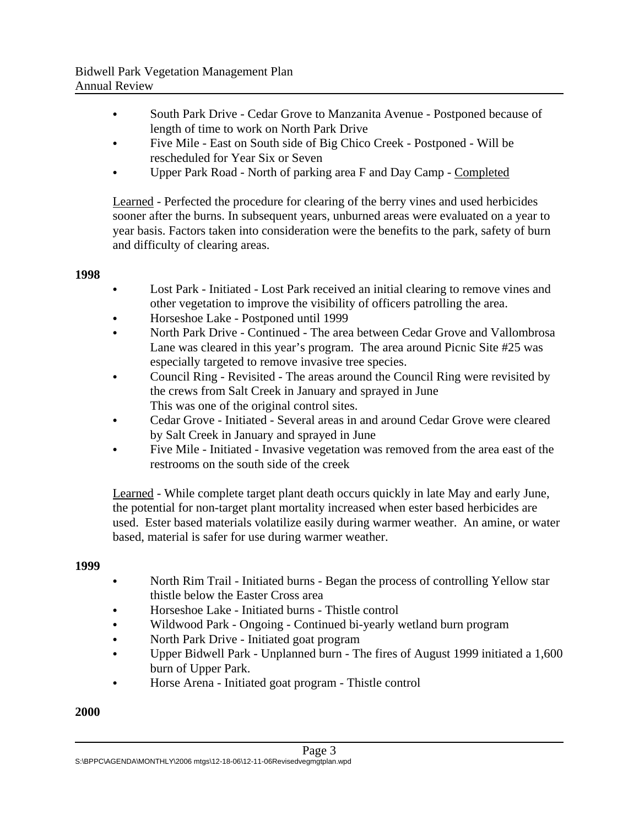- South Park Drive Cedar Grove to Manzanita Avenue Postponed because of length of time to work on North Park Drive
- Five Mile East on South side of Big Chico Creek Postponed Will be rescheduled for Year Six or Seven
- C Upper Park Road North of parking area F and Day Camp Completed

Learned - Perfected the procedure for clearing of the berry vines and used herbicides sooner after the burns. In subsequent years, unburned areas were evaluated on a year to year basis. Factors taken into consideration were the benefits to the park, safety of burn and difficulty of clearing areas.

#### **1998**

- Lost Park Initiated Lost Park received an initial clearing to remove vines and other vegetation to improve the visibility of officers patrolling the area.
- Horseshoe Lake Postponed until 1999
- C North Park Drive Continued The area between Cedar Grove and Vallombrosa Lane was cleared in this year's program. The area around Picnic Site #25 was especially targeted to remove invasive tree species.
- Council Ring Revisited The areas around the Council Ring were revisited by the crews from Salt Creek in January and sprayed in June This was one of the original control sites.
- C Cedar Grove Initiated Several areas in and around Cedar Grove were cleared by Salt Creek in January and sprayed in June
- Five Mile Initiated Invasive vegetation was removed from the area east of the restrooms on the south side of the creek

Learned - While complete target plant death occurs quickly in late May and early June, the potential for non-target plant mortality increased when ester based herbicides are used. Ester based materials volatilize easily during warmer weather. An amine, or water based, material is safer for use during warmer weather.

## **1999**

- North Rim Trail Initiated burns Began the process of controlling Yellow star thistle below the Easter Cross area
- Horseshoe Lake Initiated burns Thistle control
- Wildwood Park Ongoing Continued bi-yearly wetland burn program
- North Park Drive Initiated goat program
- C Upper Bidwell Park Unplanned burn The fires of August 1999 initiated a 1,600 burn of Upper Park.
- Horse Arena Initiated goat program Thistle control

## **2000**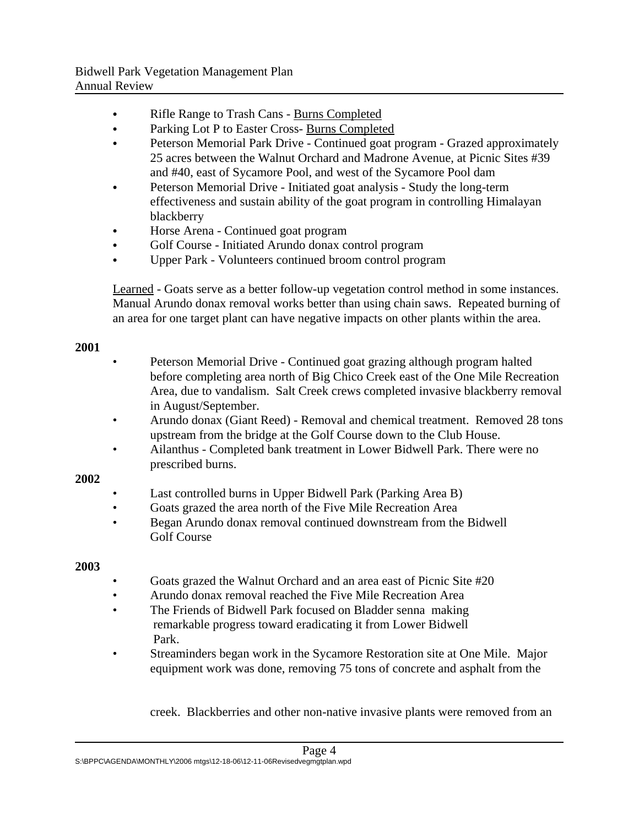- Rifle Range to Trash Cans Burns Completed
- Parking Lot P to Easter Cross- Burns Completed
- Peterson Memorial Park Drive Continued goat program Grazed approximately 25 acres between the Walnut Orchard and Madrone Avenue, at Picnic Sites #39 and #40, east of Sycamore Pool, and west of the Sycamore Pool dam
- Peterson Memorial Drive Initiated goat analysis Study the long-term effectiveness and sustain ability of the goat program in controlling Himalayan blackberry
- Horse Arena Continued goat program
- Golf Course Initiated Arundo donax control program
- Upper Park Volunteers continued broom control program

Learned - Goats serve as a better follow-up vegetation control method in some instances. Manual Arundo donax removal works better than using chain saws. Repeated burning of an area for one target plant can have negative impacts on other plants within the area.

#### **2001**

- Peterson Memorial Drive Continued goat grazing although program halted before completing area north of Big Chico Creek east of the One Mile Recreation Area, due to vandalism. Salt Creek crews completed invasive blackberry removal in August/September.
- Arundo donax (Giant Reed) Removal and chemical treatment. Removed 28 tons upstream from the bridge at the Golf Course down to the Club House.
- Ailanthus Completed bank treatment in Lower Bidwell Park. There were no prescribed burns.

## **2002**

- Last controlled burns in Upper Bidwell Park (Parking Area B)
- Goats grazed the area north of the Five Mile Recreation Area
- Began Arundo donax removal continued downstream from the Bidwell Golf Course

## **2003**

- Goats grazed the Walnut Orchard and an area east of Picnic Site #20
- Arundo donax removal reached the Five Mile Recreation Area
- The Friends of Bidwell Park focused on Bladder senna making remarkable progress toward eradicating it from Lower Bidwell Park.
- Streaminders began work in the Sycamore Restoration site at One Mile. Major equipment work was done, removing 75 tons of concrete and asphalt from the

creek. Blackberries and other non-native invasive plants were removed from an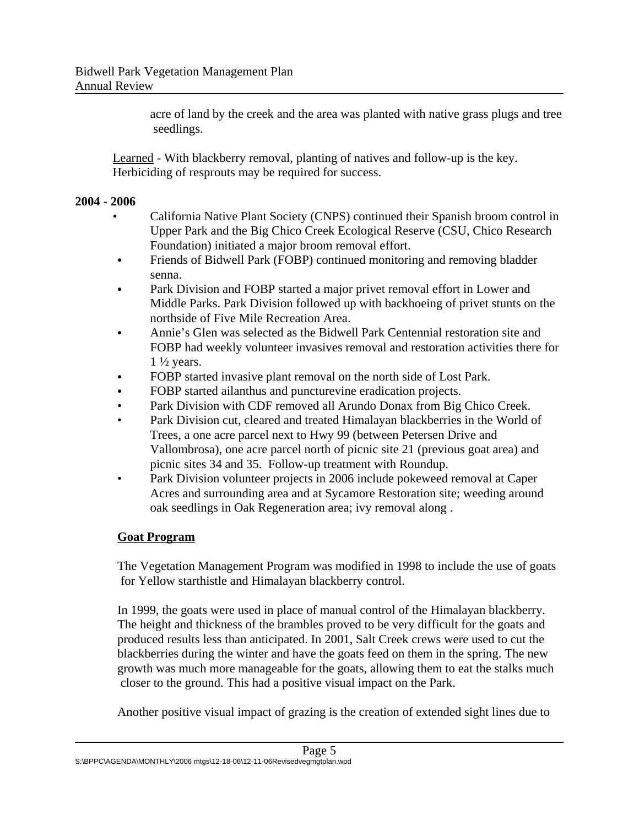acre of land by the creek and the area was planted with native grass plugs and tree seedlings.

Learned - With blackberry removal, planting of natives and follow-up is the key. Herbiciding of resprouts may be required for success.

## **2004 - 2006**

- California Native Plant Society (CNPS) continued their Spanish broom control in Upper Park and the Big Chico Creek Ecological Reserve (CSU, Chico Research Foundation) initiated a major broom removal effort.
- Friends of Bidwell Park (FOBP) continued monitoring and removing bladder senna.
- Park Division and FOBP started a major privet removal effort in Lower and Middle Parks. Park Division followed up with backhoeing of privet stunts on the northside of Five Mile Recreation Area.
- C Annie's Glen was selected as the Bidwell Park Centennial restoration site and FOBP had weekly volunteer invasives removal and restoration activities there for  $1\frac{1}{2}$  years.
- FOBP started invasive plant removal on the north side of Lost Park.
- FOBP started ailanthus and puncturevine eradication projects.
- Park Division with CDF removed all Arundo Donax from Big Chico Creek.
- Park Division cut, cleared and treated Himalayan blackberries in the World of Trees, a one acre parcel next to Hwy 99 (between Petersen Drive and Vallombrosa), one acre parcel north of picnic site 21 (previous goat area) and picnic sites 34 and 35. Follow-up treatment with Roundup.
- Park Division volunteer projects in 2006 include pokeweed removal at Caper Acres and surrounding area and at Sycamore Restoration site; weeding around oak seedlings in Oak Regeneration area; ivy removal along .

## **Goat Program**

The Vegetation Management Program was modified in 1998 to include the use of goats for Yellow starthistle and Himalayan blackberry control.

In 1999, the goats were used in place of manual control of the Himalayan blackberry. The height and thickness of the brambles proved to be very difficult for the goats and produced results less than anticipated. In 2001, Salt Creek crews were used to cut the blackberries during the winter and have the goats feed on them in the spring. The new growth was much more manageable for the goats, allowing them to eat the stalks much closer to the ground. This had a positive visual impact on the Park.

Another positive visual impact of grazing is the creation of extended sight lines due to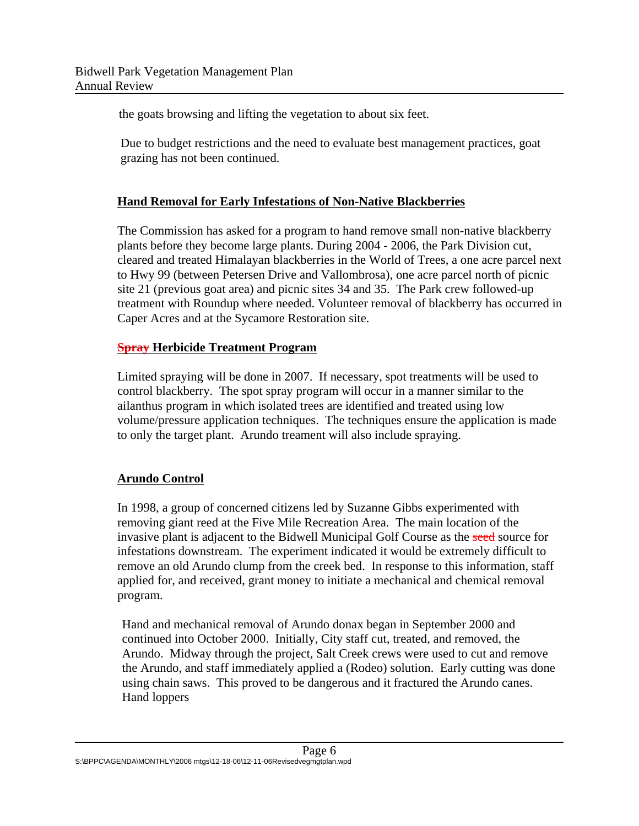the goats browsing and lifting the vegetation to about six feet.

 Due to budget restrictions and the need to evaluate best management practices, goat grazing has not been continued.

## **Hand Removal for Early Infestations of Non-Native Blackberries**

The Commission has asked for a program to hand remove small non-native blackberry plants before they become large plants. During 2004 - 2006, the Park Division cut, cleared and treated Himalayan blackberries in the World of Trees, a one acre parcel next to Hwy 99 (between Petersen Drive and Vallombrosa), one acre parcel north of picnic site 21 (previous goat area) and picnic sites 34 and 35. The Park crew followed-up treatment with Roundup where needed. Volunteer removal of blackberry has occurred in Caper Acres and at the Sycamore Restoration site.

## **Spray Herbicide Treatment Program**

Limited spraying will be done in 2007. If necessary, spot treatments will be used to control blackberry. The spot spray program will occur in a manner similar to the ailanthus program in which isolated trees are identified and treated using low volume/pressure application techniques. The techniques ensure the application is made to only the target plant. Arundo treament will also include spraying.

## **Arundo Control**

In 1998, a group of concerned citizens led by Suzanne Gibbs experimented with removing giant reed at the Five Mile Recreation Area. The main location of the invasive plant is adjacent to the Bidwell Municipal Golf Course as the seed source for infestations downstream. The experiment indicated it would be extremely difficult to remove an old Arundo clump from the creek bed. In response to this information, staff applied for, and received, grant money to initiate a mechanical and chemical removal program.

Hand and mechanical removal of Arundo donax began in September 2000 and continued into October 2000. Initially, City staff cut, treated, and removed, the Arundo. Midway through the project, Salt Creek crews were used to cut and remove the Arundo, and staff immediately applied a (Rodeo) solution. Early cutting was done using chain saws. This proved to be dangerous and it fractured the Arundo canes. Hand loppers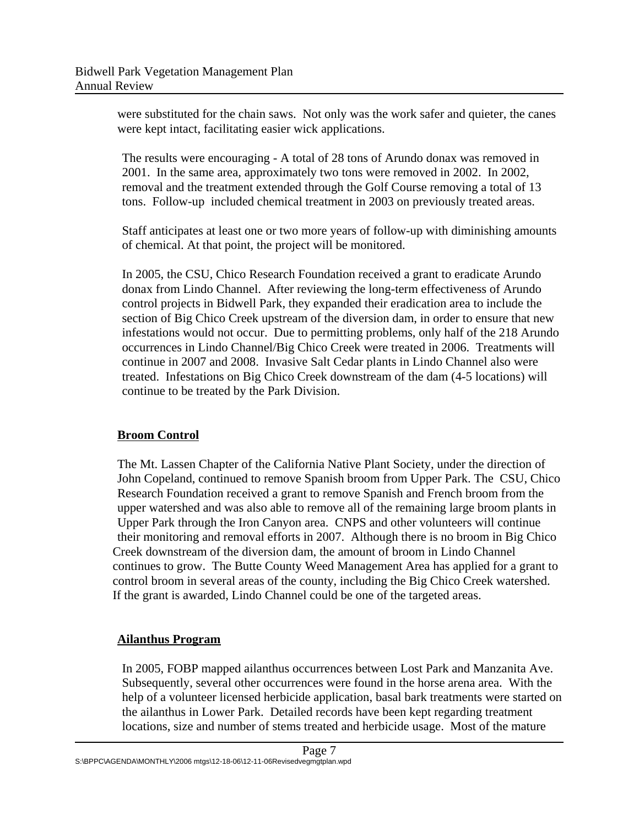were substituted for the chain saws. Not only was the work safer and quieter, the canes were kept intact, facilitating easier wick applications.

The results were encouraging - A total of 28 tons of Arundo donax was removed in 2001. In the same area, approximately two tons were removed in 2002. In 2002, removal and the treatment extended through the Golf Course removing a total of 13 tons. Follow-up included chemical treatment in 2003 on previously treated areas.

Staff anticipates at least one or two more years of follow-up with diminishing amounts of chemical. At that point, the project will be monitored.

In 2005, the CSU, Chico Research Foundation received a grant to eradicate Arundo donax from Lindo Channel. After reviewing the long-term effectiveness of Arundo control projects in Bidwell Park, they expanded their eradication area to include the section of Big Chico Creek upstream of the diversion dam, in order to ensure that new infestations would not occur. Due to permitting problems, only half of the 218 Arundo occurrences in Lindo Channel/Big Chico Creek were treated in 2006. Treatments will continue in 2007 and 2008. Invasive Salt Cedar plants in Lindo Channel also were treated. Infestations on Big Chico Creek downstream of the dam (4-5 locations) will continue to be treated by the Park Division.

## **Broom Control**

The Mt. Lassen Chapter of the California Native Plant Society, under the direction of John Copeland, continued to remove Spanish broom from Upper Park. The CSU, Chico Research Foundation received a grant to remove Spanish and French broom from the upper watershed and was also able to remove all of the remaining large broom plants in Upper Park through the Iron Canyon area. CNPS and other volunteers will continue their monitoring and removal efforts in 2007. Although there is no broom in Big Chico Creek downstream of the diversion dam, the amount of broom in Lindo Channel continues to grow. The Butte County Weed Management Area has applied for a grant to control broom in several areas of the county, including the Big Chico Creek watershed. If the grant is awarded, Lindo Channel could be one of the targeted areas.

## **Ailanthus Program**

In 2005, FOBP mapped ailanthus occurrences between Lost Park and Manzanita Ave. Subsequently, several other occurrences were found in the horse arena area. With the help of a volunteer licensed herbicide application, basal bark treatments were started on the ailanthus in Lower Park. Detailed records have been kept regarding treatment locations, size and number of stems treated and herbicide usage. Most of the mature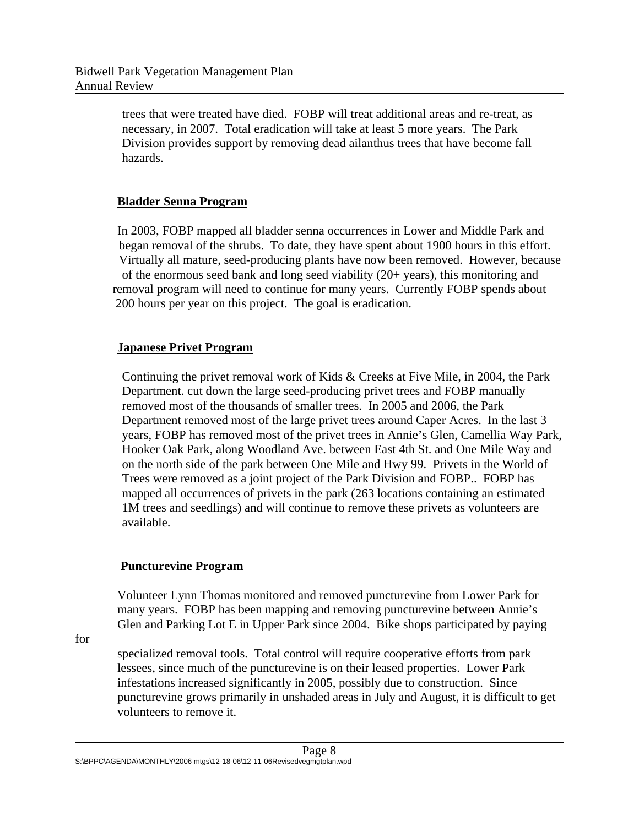trees that were treated have died. FOBP will treat additional areas and re-treat, as necessary, in 2007. Total eradication will take at least 5 more years. The Park Division provides support by removing dead ailanthus trees that have become fall hazards.

## **Bladder Senna Program**

In 2003, FOBP mapped all bladder senna occurrences in Lower and Middle Park and began removal of the shrubs. To date, they have spent about 1900 hours in this effort. Virtually all mature, seed-producing plants have now been removed. However, because of the enormous seed bank and long seed viability (20+ years), this monitoring and removal program will need to continue for many years. Currently FOBP spends about 200 hours per year on this project. The goal is eradication.

## **Japanese Privet Program**

Continuing the privet removal work of Kids & Creeks at Five Mile, in 2004, the Park Department. cut down the large seed-producing privet trees and FOBP manually removed most of the thousands of smaller trees. In 2005 and 2006, the Park Department removed most of the large privet trees around Caper Acres. In the last 3 years, FOBP has removed most of the privet trees in Annie's Glen, Camellia Way Park, Hooker Oak Park, along Woodland Ave. between East 4th St. and One Mile Way and on the north side of the park between One Mile and Hwy 99. Privets in the World of Trees were removed as a joint project of the Park Division and FOBP.. FOBP has mapped all occurrences of privets in the park (263 locations containing an estimated 1M trees and seedlings) and will continue to remove these privets as volunteers are available.

## **Puncturevine Program**

Volunteer Lynn Thomas monitored and removed puncturevine from Lower Park for many years. FOBP has been mapping and removing puncturevine between Annie's Glen and Parking Lot E in Upper Park since 2004. Bike shops participated by paying

for

specialized removal tools. Total control will require cooperative efforts from park lessees, since much of the puncturevine is on their leased properties. Lower Park infestations increased significantly in 2005, possibly due to construction. Since puncturevine grows primarily in unshaded areas in July and August, it is difficult to get volunteers to remove it.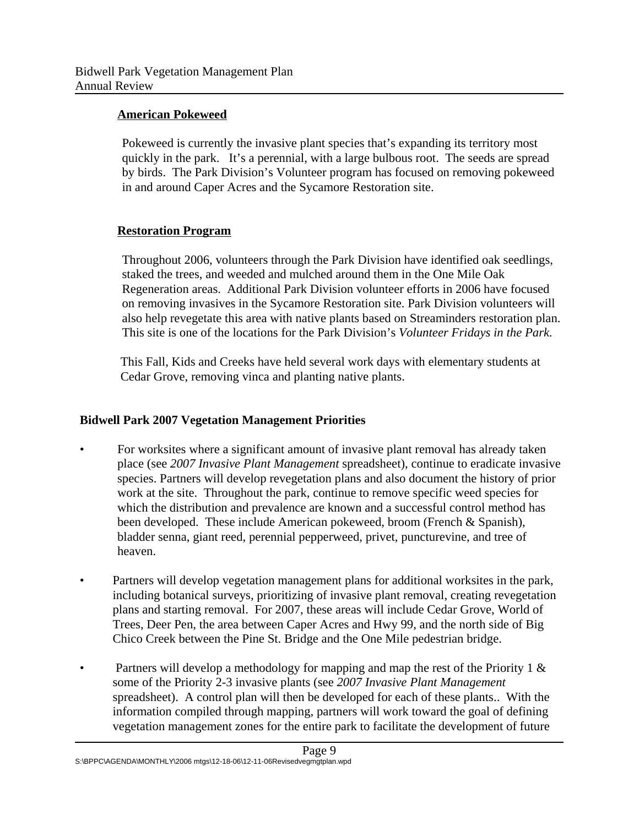#### **American Pokeweed**

Pokeweed is currently the invasive plant species that's expanding its territory most quickly in the park. It's a perennial, with a large bulbous root. The seeds are spread by birds. The Park Division's Volunteer program has focused on removing pokeweed in and around Caper Acres and the Sycamore Restoration site.

#### **Restoration Program**

Throughout 2006, volunteers through the Park Division have identified oak seedlings, staked the trees, and weeded and mulched around them in the One Mile Oak Regeneration areas. Additional Park Division volunteer efforts in 2006 have focused on removing invasives in the Sycamore Restoration site. Park Division volunteers will also help revegetate this area with native plants based on Streaminders restoration plan. This site is one of the locations for the Park Division's *Volunteer Fridays in the Park.*

 This Fall, Kids and Creeks have held several work days with elementary students at Cedar Grove, removing vinca and planting native plants.

## **Bidwell Park 2007 Vegetation Management Priorities**

- For worksites where a significant amount of invasive plant removal has already taken place (see *2007 Invasive Plant Management* spreadsheet), continue to eradicate invasive species. Partners will develop revegetation plans and also document the history of prior work at the site. Throughout the park, continue to remove specific weed species for which the distribution and prevalence are known and a successful control method has been developed. These include American pokeweed, broom (French & Spanish), bladder senna, giant reed, perennial pepperweed, privet, puncturevine, and tree of heaven.
- Partners will develop vegetation management plans for additional worksites in the park, including botanical surveys, prioritizing of invasive plant removal, creating revegetation plans and starting removal. For 2007, these areas will include Cedar Grove, World of Trees, Deer Pen, the area between Caper Acres and Hwy 99, and the north side of Big Chico Creek between the Pine St. Bridge and the One Mile pedestrian bridge.
- Partners will develop a methodology for mapping and map the rest of the Priority 1 & some of the Priority 2-3 invasive plants (see *2007 Invasive Plant Management* spreadsheet). A control plan will then be developed for each of these plants.. With the information compiled through mapping, partners will work toward the goal of defining vegetation management zones for the entire park to facilitate the development of future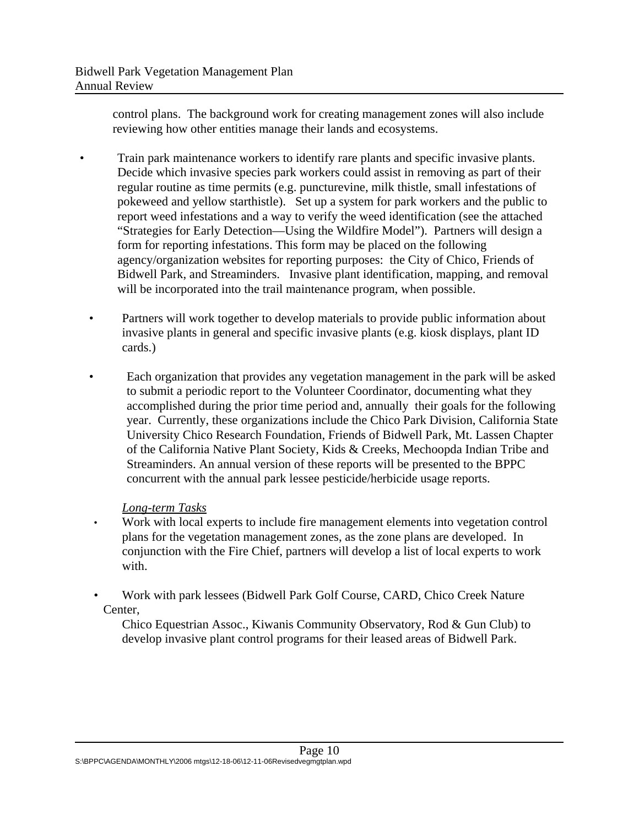control plans. The background work for creating management zones will also include reviewing how other entities manage their lands and ecosystems.

- Train park maintenance workers to identify rare plants and specific invasive plants. Decide which invasive species park workers could assist in removing as part of their regular routine as time permits (e.g. puncturevine, milk thistle, small infestations of pokeweed and yellow starthistle). Set up a system for park workers and the public to report weed infestations and a way to verify the weed identification (see the attached "Strategies for Early Detection—Using the Wildfire Model"). Partners will design a form for reporting infestations. This form may be placed on the following agency/organization websites for reporting purposes: the City of Chico, Friends of Bidwell Park, and Streaminders. Invasive plant identification, mapping, and removal will be incorporated into the trail maintenance program, when possible.
- Partners will work together to develop materials to provide public information about invasive plants in general and specific invasive plants (e.g. kiosk displays, plant ID cards.)
- Each organization that provides any vegetation management in the park will be asked to submit a periodic report to the Volunteer Coordinator, documenting what they accomplished during the prior time period and, annually their goals for the following year. Currently, these organizations include the Chico Park Division, California State University Chico Research Foundation, Friends of Bidwell Park, Mt. Lassen Chapter of the California Native Plant Society, Kids & Creeks, Mechoopda Indian Tribe and Streaminders. An annual version of these reports will be presented to the BPPC concurrent with the annual park lessee pesticide/herbicide usage reports.

## *Long-term Tasks*

- Work with local experts to include fire management elements into vegetation control plans for the vegetation management zones, as the zone plans are developed. In conjunction with the Fire Chief, partners will develop a list of local experts to work with.
- Work with park lessees (Bidwell Park Golf Course, CARD, Chico Creek Nature Center,

Chico Equestrian Assoc., Kiwanis Community Observatory, Rod & Gun Club) to develop invasive plant control programs for their leased areas of Bidwell Park.